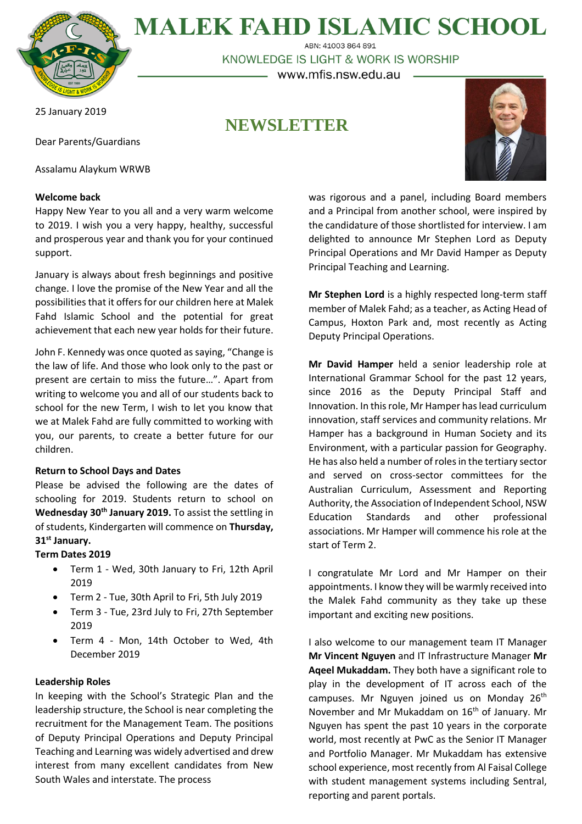

**MALEK FAHD ISLAMIC SCHOOL** ABN: 41003 864 891

KNOWLEDGE IS LIGHT & WORK IS WORSHIP

– www.mfis.nsw.edu.au –

25 January 2019

# **NEWSLETTER**

Dear Parents/Guardians

Assalamu Alaykum WRWB

## **Welcome back**

Happy New Year to you all and a very warm welcome to 2019. I wish you a very happy, healthy, successful and prosperous year and thank you for your continued support.

January is always about fresh beginnings and positive change. I love the promise of the New Year and all the possibilities that it offers for our children here at Malek Fahd Islamic School and the potential for great achievement that each new year holds for their future.

John F. Kennedy was once quoted as saying, "Change is the law of life. And those who look only to the past or present are certain to miss the future…". Apart from writing to welcome you and all of our students back to school for the new Term, I wish to let you know that we at Malek Fahd are fully committed to working with you, our parents, to create a better future for our children.

# **Return to School Days and Dates**

Please be advised the following are the dates of schooling for 2019. Students return to school on **Wednesday 30th January 2019.** To assist the settling in of students, Kindergarten will commence on **Thursday, 31st January.** 

# **Term Dates 2019**

- Term 1 Wed, 30th January to Fri, 12th April 2019
- Term 2 Tue, 30th April to Fri, 5th July 2019
- Term 3 Tue, 23rd July to Fri, 27th September 2019
- Term 4 Mon, 14th October to Wed, 4th December 2019

## **Leadership Roles**

In keeping with the School's Strategic Plan and the leadership structure, the School is near completing the recruitment for the Management Team. The positions of Deputy Principal Operations and Deputy Principal Teaching and Learning was widely advertised and drew interest from many excellent candidates from New South Wales and interstate. The process

was rigorous and a panel, including Board members and a Principal from another school, were inspired by the candidature of those shortlisted for interview. I am delighted to announce Mr Stephen Lord as Deputy Principal Operations and Mr David Hamper as Deputy Principal Teaching and Learning.

**Mr Stephen Lord** is a highly respected long-term staff member of Malek Fahd; as a teacher, as Acting Head of Campus, Hoxton Park and, most recently as Acting Deputy Principal Operations.

**Mr David Hamper** held a senior leadership role at International Grammar School for the past 12 years, since 2016 as the Deputy Principal Staff and Innovation. In this role, Mr Hamper has lead curriculum innovation, staff services and community relations. Mr Hamper has a background in Human Society and its Environment, with a particular passion for Geography. He has also held a number of roles in the tertiary sector and served on cross-sector committees for the Australian Curriculum, Assessment and Reporting Authority, the Association of Independent School, NSW Education Standards and other professional associations. Mr Hamper will commence his role at the start of Term 2.

I congratulate Mr Lord and Mr Hamper on their appointments. I know they will be warmly received into the Malek Fahd community as they take up these important and exciting new positions.

I also welcome to our management team IT Manager **Mr Vincent Nguyen** and IT Infrastructure Manager **Mr Aqeel Mukaddam.** They both have a significant role to play in the development of IT across each of the campuses. Mr Nguyen joined us on Monday 26<sup>th</sup> November and Mr Mukaddam on 16<sup>th</sup> of January. Mr Nguyen has spent the past 10 years in the corporate world, most recently at PwC as the Senior IT Manager and Portfolio Manager. Mr Mukaddam has extensive school experience, most recently from Al Faisal College with student management systems including Sentral, reporting and parent portals.